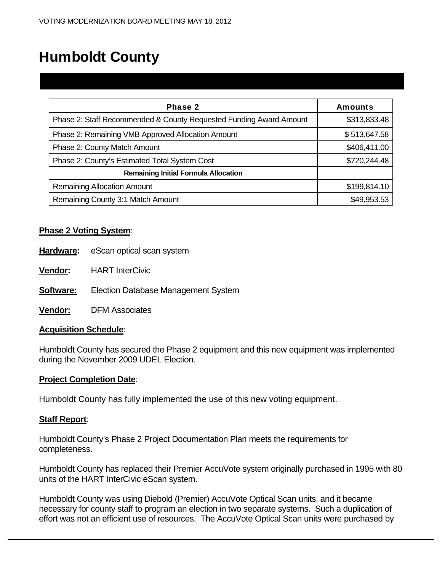# Humboldt County

| Phase 2                                                            | <b>Amounts</b> |
|--------------------------------------------------------------------|----------------|
| Phase 2: Staff Recommended & County Requested Funding Award Amount | \$313,833.48   |
| Phase 2: Remaining VMB Approved Allocation Amount                  | \$513,647.58   |
| Phase 2: County Match Amount                                       | \$406,411.00   |
| Phase 2: County's Estimated Total System Cost                      | \$720,244.48   |
| <b>Remaining Initial Formula Allocation</b>                        |                |
| <b>Remaining Allocation Amount</b>                                 | \$199,814.10   |
| Remaining County 3:1 Match Amount                                  | \$49,953.53    |

### **Phase 2 Voting System**:

- **Hardware:** eScan optical scan system
- **Vendor:** HART InterCivic
- **Software:** Election Database Management System
- **Vendor:** DFM Associates

#### **Acquisition Schedule**:

Humboldt County has secured the Phase 2 equipment and this new equipment was implemented during the November 2009 UDEL Election.

#### **Project Completion Date**:

Humboldt County has fully implemented the use of this new voting equipment.

#### **Staff Report**:

Humboldt County's Phase 2 Project Documentation Plan meets the requirements for completeness.

Humboldt County has replaced their Premier AccuVote system originally purchased in 1995 with 80 units of the HART InterCivic eScan system.

Humboldt County was using Diebold (Premier) AccuVote Optical Scan units, and it became necessary for county staff to program an election in two separate systems. Such a duplication of effort was not an efficient use of resources. The AccuVote Optical Scan units were purchased by